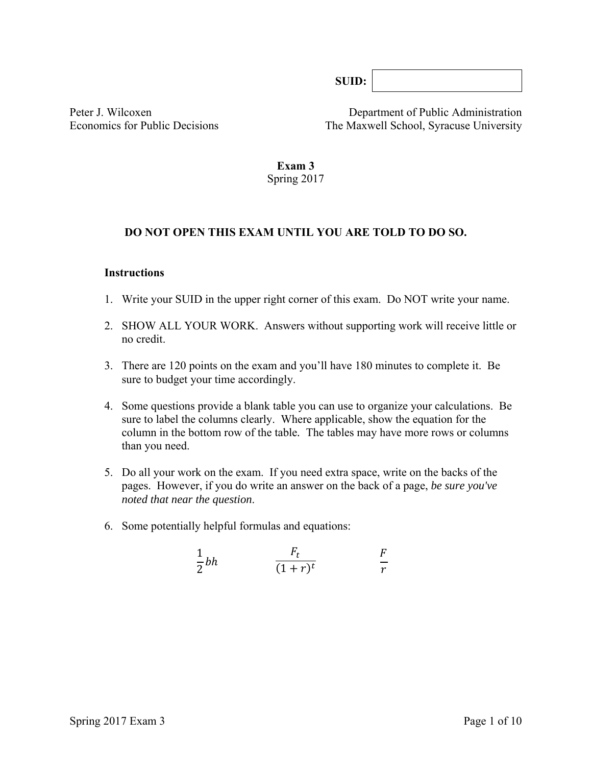**SUID:** 

Peter J. Wilcoxen Department of Public Administration Economics for Public Decisions The Maxwell School, Syracuse University

> **Exam 3**  Spring 2017

#### **DO NOT OPEN THIS EXAM UNTIL YOU ARE TOLD TO DO SO.**

#### **Instructions**

- 1. Write your SUID in the upper right corner of this exam. Do NOT write your name.
- 2. SHOW ALL YOUR WORK. Answers without supporting work will receive little or no credit.
- 3. There are 120 points on the exam and you'll have 180 minutes to complete it. Be sure to budget your time accordingly.
- 4. Some questions provide a blank table you can use to organize your calculations. Be sure to label the columns clearly. Where applicable, show the equation for the column in the bottom row of the table*.* The tables may have more rows or columns than you need.
- 5. Do all your work on the exam. If you need extra space, write on the backs of the pages. However, if you do write an answer on the back of a page, *be sure you've noted that near the question*.
- 6. Some potentially helpful formulas and equations:

$$
\frac{1}{2}bh \qquad \frac{F_t}{(1+r)^t} \qquad \frac{F}{r}
$$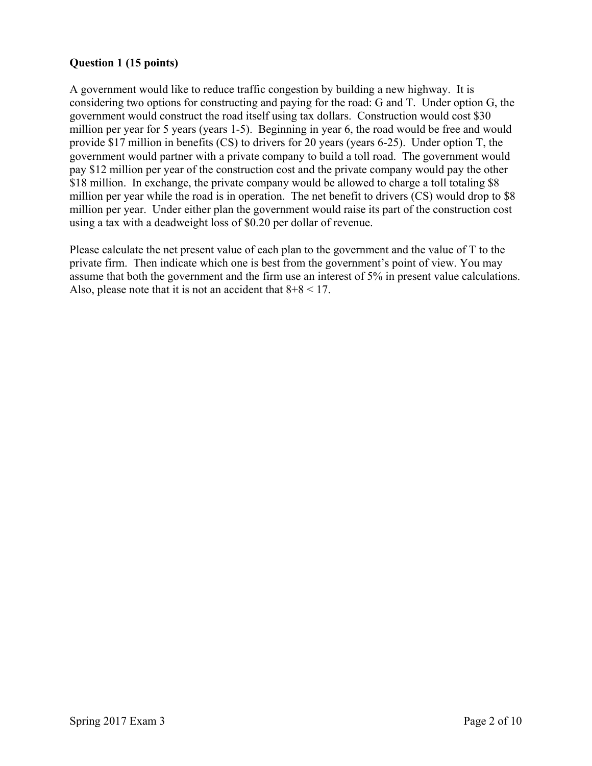## **Question 1 (15 points)**

A government would like to reduce traffic congestion by building a new highway. It is considering two options for constructing and paying for the road: G and T. Under option G, the government would construct the road itself using tax dollars. Construction would cost \$30 million per year for 5 years (years 1-5). Beginning in year 6, the road would be free and would provide \$17 million in benefits (CS) to drivers for 20 years (years 6-25). Under option T, the government would partner with a private company to build a toll road. The government would pay \$12 million per year of the construction cost and the private company would pay the other \$18 million. In exchange, the private company would be allowed to charge a toll totaling \$8 million per year while the road is in operation. The net benefit to drivers (CS) would drop to \$8 million per year. Under either plan the government would raise its part of the construction cost using a tax with a deadweight loss of \$0.20 per dollar of revenue.

Please calculate the net present value of each plan to the government and the value of T to the private firm. Then indicate which one is best from the government's point of view. You may assume that both the government and the firm use an interest of 5% in present value calculations. Also, please note that it is not an accident that  $8+8 < 17$ .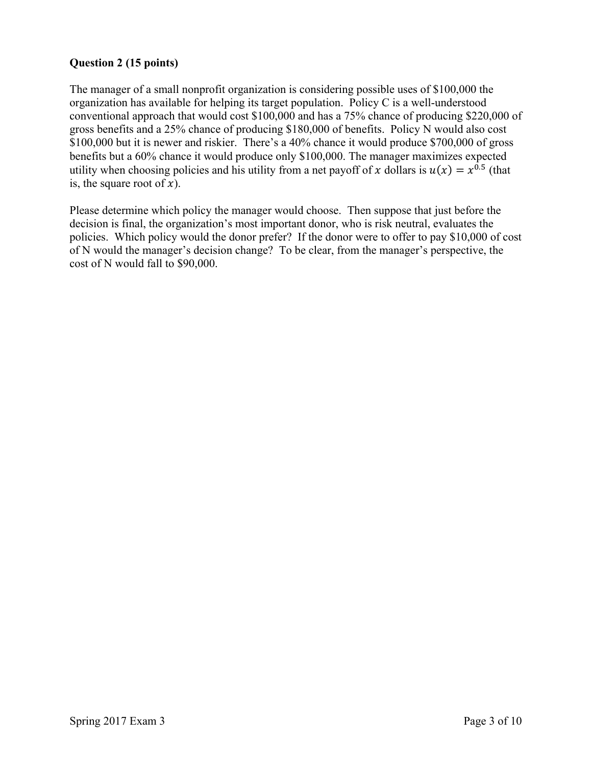## **Question 2 (15 points)**

The manager of a small nonprofit organization is considering possible uses of \$100,000 the organization has available for helping its target population. Policy C is a well-understood conventional approach that would cost \$100,000 and has a 75% chance of producing \$220,000 of gross benefits and a 25% chance of producing \$180,000 of benefits. Policy N would also cost \$100,000 but it is newer and riskier. There's a 40% chance it would produce \$700,000 of gross benefits but a 60% chance it would produce only \$100,000. The manager maximizes expected utility when choosing policies and his utility from a net payoff of x dollars is  $u(x) = x^{0.5}$  (that is, the square root of  $x$ ).

Please determine which policy the manager would choose. Then suppose that just before the decision is final, the organization's most important donor, who is risk neutral, evaluates the policies. Which policy would the donor prefer? If the donor were to offer to pay \$10,000 of cost of N would the manager's decision change? To be clear, from the manager's perspective, the cost of N would fall to \$90,000.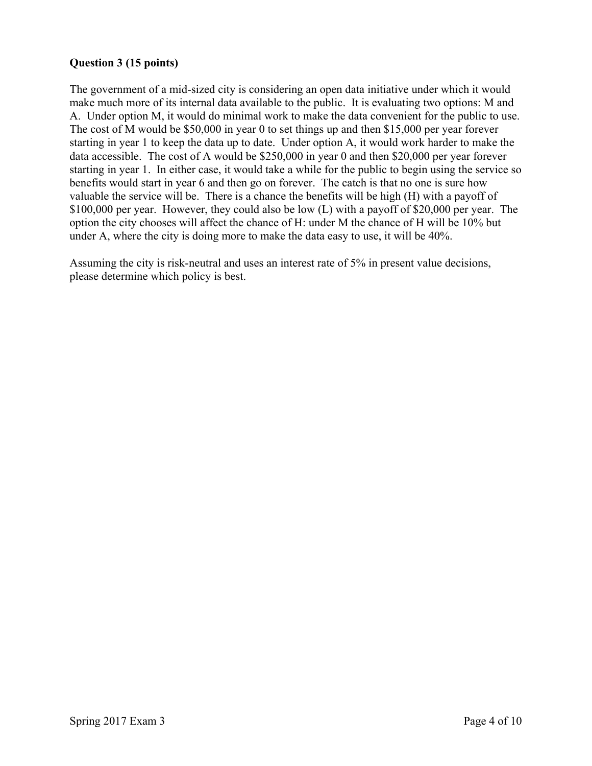## **Question 3 (15 points)**

The government of a mid-sized city is considering an open data initiative under which it would make much more of its internal data available to the public. It is evaluating two options: M and A. Under option M, it would do minimal work to make the data convenient for the public to use. The cost of M would be \$50,000 in year 0 to set things up and then \$15,000 per year forever starting in year 1 to keep the data up to date. Under option A, it would work harder to make the data accessible. The cost of A would be \$250,000 in year 0 and then \$20,000 per year forever starting in year 1. In either case, it would take a while for the public to begin using the service so benefits would start in year 6 and then go on forever. The catch is that no one is sure how valuable the service will be. There is a chance the benefits will be high (H) with a payoff of \$100,000 per year. However, they could also be low (L) with a payoff of \$20,000 per year. The option the city chooses will affect the chance of H: under M the chance of H will be 10% but under A, where the city is doing more to make the data easy to use, it will be 40%.

Assuming the city is risk-neutral and uses an interest rate of 5% in present value decisions, please determine which policy is best.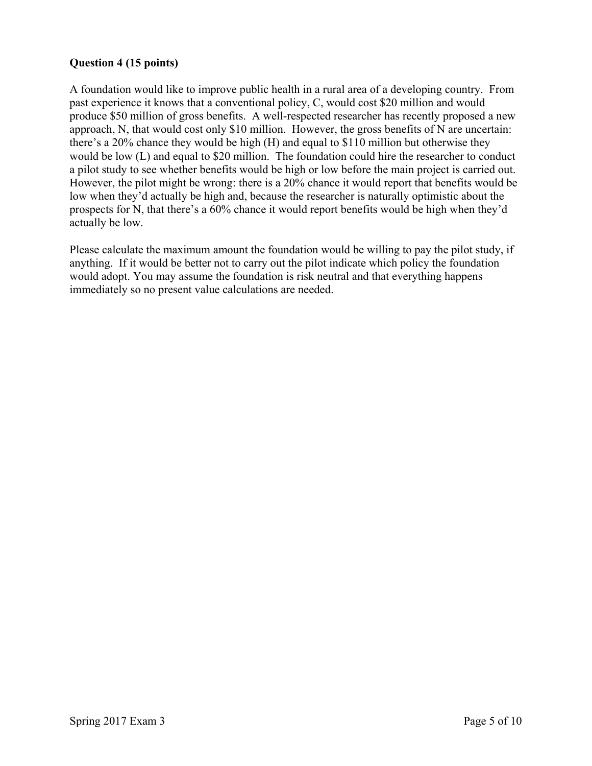## **Question 4 (15 points)**

A foundation would like to improve public health in a rural area of a developing country. From past experience it knows that a conventional policy, C, would cost \$20 million and would produce \$50 million of gross benefits. A well-respected researcher has recently proposed a new approach, N, that would cost only \$10 million. However, the gross benefits of N are uncertain: there's a 20% chance they would be high (H) and equal to \$110 million but otherwise they would be low (L) and equal to \$20 million. The foundation could hire the researcher to conduct a pilot study to see whether benefits would be high or low before the main project is carried out. However, the pilot might be wrong: there is a 20% chance it would report that benefits would be low when they'd actually be high and, because the researcher is naturally optimistic about the prospects for N, that there's a 60% chance it would report benefits would be high when they'd actually be low.

Please calculate the maximum amount the foundation would be willing to pay the pilot study, if anything. If it would be better not to carry out the pilot indicate which policy the foundation would adopt. You may assume the foundation is risk neutral and that everything happens immediately so no present value calculations are needed.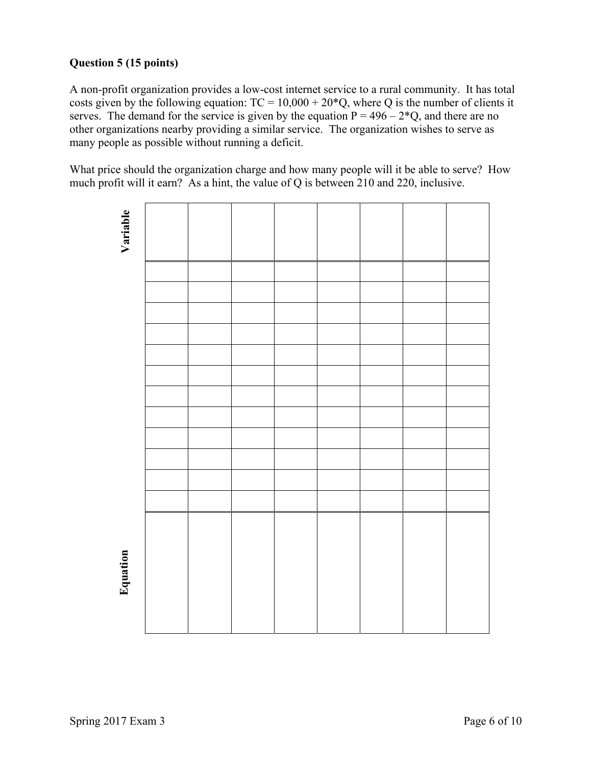# **Question 5 (15 points)**

A non-profit organization provides a low-cost internet service to a rural community. It has total costs given by the following equation:  $TC = 10,000 + 20^*Q$ , where Q is the number of clients it serves. The demand for the service is given by the equation  $P = 496 - 2*Q$ , and there are no other organizations nearby providing a similar service. The organization wishes to serve as many people as possible without running a deficit.

What price should the organization charge and how many people will it be able to serve? How much profit will it earn? As a hint, the value of Q is between 210 and 220, inclusive.

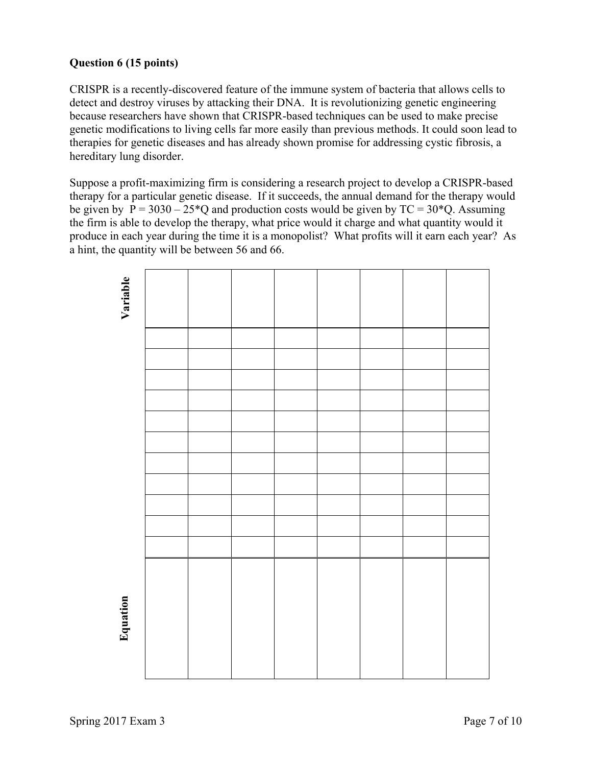## **Question 6 (15 points)**

CRISPR is a recently-discovered feature of the immune system of bacteria that allows cells to detect and destroy viruses by attacking their DNA. It is revolutionizing genetic engineering because researchers have shown that CRISPR-based techniques can be used to make precise genetic modifications to living cells far more easily than previous methods. It could soon lead to therapies for genetic diseases and has already shown promise for addressing cystic fibrosis, a hereditary lung disorder.

Suppose a profit-maximizing firm is considering a research project to develop a CRISPR-based therapy for a particular genetic disease. If it succeeds, the annual demand for the therapy would be given by  $P = 3030 - 25*Q$  and production costs would be given by  $TC = 30*Q$ . Assuming the firm is able to develop the therapy, what price would it charge and what quantity would it produce in each year during the time it is a monopolist? What profits will it earn each year? As a hint, the quantity will be between 56 and 66.

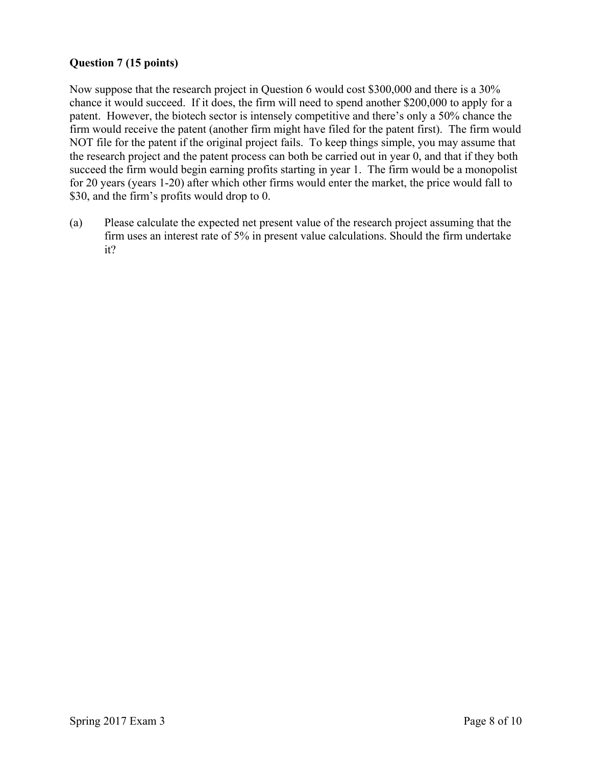## **Question 7 (15 points)**

Now suppose that the research project in Question 6 would cost \$300,000 and there is a 30% chance it would succeed. If it does, the firm will need to spend another \$200,000 to apply for a patent. However, the biotech sector is intensely competitive and there's only a 50% chance the firm would receive the patent (another firm might have filed for the patent first). The firm would NOT file for the patent if the original project fails. To keep things simple, you may assume that the research project and the patent process can both be carried out in year 0, and that if they both succeed the firm would begin earning profits starting in year 1. The firm would be a monopolist for 20 years (years 1-20) after which other firms would enter the market, the price would fall to \$30, and the firm's profits would drop to 0.

(a) Please calculate the expected net present value of the research project assuming that the firm uses an interest rate of 5% in present value calculations. Should the firm undertake it?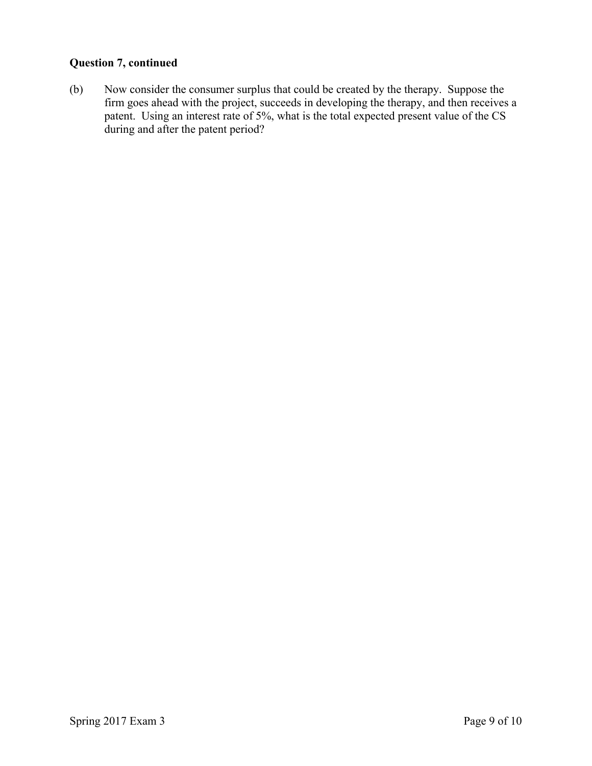## **Question 7, continued**

(b) Now consider the consumer surplus that could be created by the therapy. Suppose the firm goes ahead with the project, succeeds in developing the therapy, and then receives a patent. Using an interest rate of 5%, what is the total expected present value of the CS during and after the patent period?